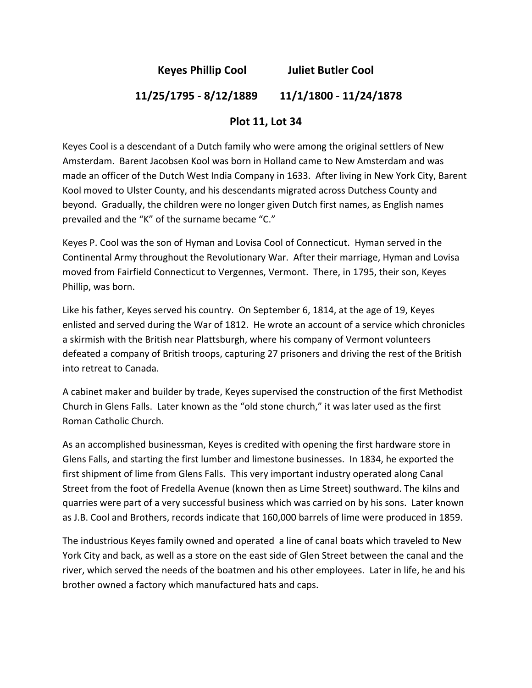**Keyes Phillip Cool Juliet Butler Cool** 

## **11/25/1795 ‐ 8/12/1889 11/1/1800 ‐ 11/24/1878**

## **Plot 11, Lot 34**

Keyes Cool is a descendant of a Dutch family who were among the original settlers of New Amsterdam. Barent Jacobsen Kool was born in Holland came to New Amsterdam and was made an officer of the Dutch West India Company in 1633. After living in New York City, Barent Kool moved to Ulster County, and his descendants migrated across Dutchess County and beyond. Gradually, the children were no longer given Dutch first names, as English names prevailed and the "K" of the surname became "C."

Keyes P. Cool was the son of Hyman and Lovisa Cool of Connecticut. Hyman served in the Continental Army throughout the Revolutionary War. After their marriage, Hyman and Lovisa moved from Fairfield Connecticut to Vergennes, Vermont. There, in 1795, their son, Keyes Phillip, was born.

Like his father, Keyes served his country. On September 6, 1814, at the age of 19, Keyes enlisted and served during the War of 1812. He wrote an account of a service which chronicles a skirmish with the British near Plattsburgh, where his company of Vermont volunteers defeated a company of British troops, capturing 27 prisoners and driving the rest of the British into retreat to Canada.

A cabinet maker and builder by trade, Keyes supervised the construction of the first Methodist Church in Glens Falls. Later known as the "old stone church," it was later used as the first Roman Catholic Church.

As an accomplished businessman, Keyes is credited with opening the first hardware store in Glens Falls, and starting the first lumber and limestone businesses. In 1834, he exported the first shipment of lime from Glens Falls. This very important industry operated along Canal Street from the foot of Fredella Avenue (known then as Lime Street) southward. The kilns and quarries were part of a very successful business which was carried on by his sons. Later known as J.B. Cool and Brothers, records indicate that 160,000 barrels of lime were produced in 1859.

The industrious Keyes family owned and operated a line of canal boats which traveled to New York City and back, as well as a store on the east side of Glen Street between the canal and the river, which served the needs of the boatmen and his other employees. Later in life, he and his brother owned a factory which manufactured hats and caps.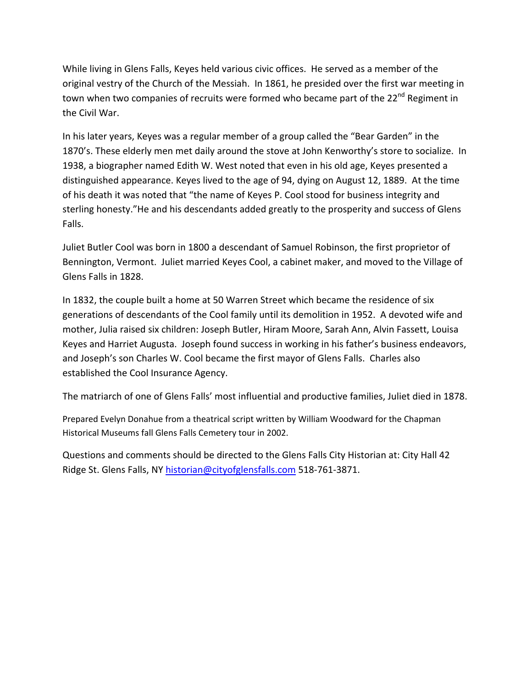While living in Glens Falls, Keyes held various civic offices. He served as a member of the original vestry of the Church of the Messiah. In 1861, he presided over the first war meeting in town when two companies of recruits were formed who became part of the 22<sup>nd</sup> Regiment in the Civil War.

In his later years, Keyes was a regular member of a group called the "Bear Garden" in the 1870's. These elderly men met daily around the stove at John Kenworthy's store to socialize. In 1938, a biographer named Edith W. West noted that even in his old age, Keyes presented a distinguished appearance. Keyes lived to the age of 94, dying on August 12, 1889. At the time of his death it was noted that "the name of Keyes P. Cool stood for business integrity and sterling honesty."He and his descendants added greatly to the prosperity and success of Glens Falls.

Juliet Butler Cool was born in 1800 a descendant of Samuel Robinson, the first proprietor of Bennington, Vermont. Juliet married Keyes Cool, a cabinet maker, and moved to the Village of Glens Falls in 1828.

In 1832, the couple built a home at 50 Warren Street which became the residence of six generations of descendants of the Cool family until its demolition in 1952. A devoted wife and mother, Julia raised six children: Joseph Butler, Hiram Moore, Sarah Ann, Alvin Fassett, Louisa Keyes and Harriet Augusta. Joseph found success in working in his father's business endeavors, and Joseph's son Charles W. Cool became the first mayor of Glens Falls. Charles also established the Cool Insurance Agency.

The matriarch of one of Glens Falls' most influential and productive families, Juliet died in 1878.

Prepared Evelyn Donahue from a theatrical script written by William Woodward for the Chapman Historical Museums fall Glens Falls Cemetery tour in 2002.

Questions and comments should be directed to the Glens Falls City Historian at: City Hall 42 Ridge St. Glens Falls, NY historian@cityofglensfalls.com 518‐761‐3871.